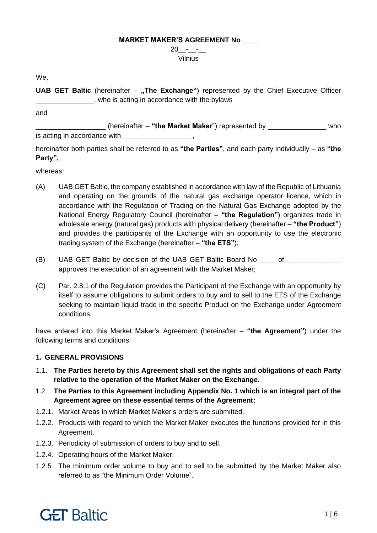#### **MARKET MAKER'S AGREEMENT No \_\_\_\_**

 $20 - -$ Vilnius

We,

**UAB GET Baltic** (hereinafter – "The Exchange") represented by the Chief Executive Officer \_\_\_\_\_\_\_\_\_\_\_\_\_\_\_, who is acting in accordance with the bylaws

and

\_\_\_\_\_\_\_\_\_\_\_\_\_\_\_\_\_\_ (hereinafter – **"the Market Maker**") represented by \_\_\_\_\_\_\_\_\_\_\_\_\_\_\_ who is acting in accordance with

hereinafter both parties shall be referred to as **"the Parties"**, and each party individually – as **"the Party",**

whereas:

- (A) UAB GET Baltic, the company established in accordance with law of the Republic of Lithuania and operating on the grounds of the natural gas exchange operator licence, which in accordance with the Regulation of Trading on the Natural Gas Exchange adopted by the National Energy Regulatory Council (hereinafter – **"the Regulation"**) organizes trade in wholesale energy (natural gas) products with physical delivery (hereinafter – **"the Product"**) and provides the participants of the Exchange with an opportunity to use the electronic trading system of the Exchange (hereinafter – **"the ETS"**);
- (B) UAB GET Baltic by decision of the UAB GET Baltic Board No \_\_\_\_ of \_\_\_\_\_\_\_\_\_\_\_\_\_\_ approves the execution of an agreement with the Market Maker;
- (C) Par. 2.8.1 of the Regulation provides the Participant of the Exchange with an opportunity by itself to assume obligations to submit orders to buy and to sell to the ETS of the Exchange seeking to maintain liquid trade in the specific Product on the Exchange under Agreement conditions.

have entered into this Market Maker's Agreement (hereinafter – **"the Agreement"**) under the following terms and conditions:

## **1. GENERAL PROVISIONS**

- 1.1. **The Parties hereto by this Agreement shall set the rights and obligations of each Party relative to the operation of the Market Maker on the Exchange.**
- 1.2. **The Parties to this Agreement including Appendix No. 1 which is an integral part of the Agreement agree on these essential terms of the Agreement:**
- 1.2.1. Market Areas in which Market Maker's orders are submitted.
- 1.2.2. Products with regard to which the Market Maker executes the functions provided for in this Agreement.
- 1.2.3. Periodicity of submission of orders to buy and to sell.
- 1.2.4. Operating hours of the Market Maker.
- 1.2.5. The minimum order volume to buy and to sell to be submitted by the Market Maker also referred to as "the Minimum Order Volume".

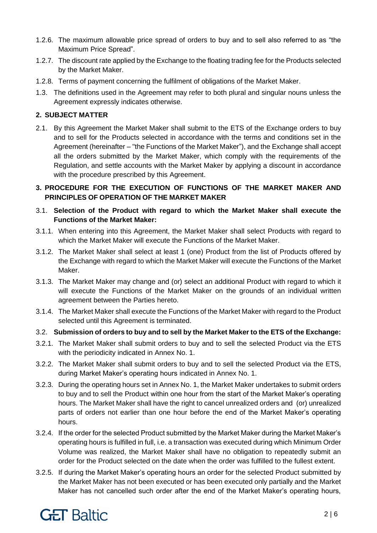- 1.2.6. The maximum allowable price spread of orders to buy and to sell also referred to as "the Maximum Price Spread".
- 1.2.7. The discount rate applied by the Exchange to the floating trading fee for the Products selected by the Market Maker.
- 1.2.8. Terms of payment concerning the fulfilment of obligations of the Market Maker.
- 1.3. The definitions used in the Agreement may refer to both plural and singular nouns unless the Agreement expressly indicates otherwise.

## **2. SUBJECT MATTER**

2.1. By this Agreement the Market Maker shall submit to the ETS of the Exchange orders to buy and to sell for the Products selected in accordance with the terms and conditions set in the Agreement (hereinafter – "the Functions of the Market Maker"), and the Exchange shall accept all the orders submitted by the Market Maker, which comply with the requirements of the Regulation, and settle accounts with the Market Maker by applying a discount in accordance with the procedure prescribed by this Agreement.

## **3. PROCEDURE FOR THE EXECUTION OF FUNCTIONS OF THE MARKET MAKER AND PRINCIPLES OF OPERATION OF THE MARKET MAKER**

- 3.1. **Selection of the Product with regard to which the Market Maker shall execute the Functions of the Market Maker:**
- 3.1.1. When entering into this Agreement, the Market Maker shall select Products with regard to which the Market Maker will execute the Functions of the Market Maker.
- 3.1.2. The Market Maker shall select at least 1 (one) Product from the list of Products offered by the Exchange with regard to which the Market Maker will execute the Functions of the Market Maker.
- 3.1.3. The Market Maker may change and (or) select an additional Product with regard to which it will execute the Functions of the Market Maker on the grounds of an individual written agreement between the Parties hereto.
- 3.1.4. The Market Maker shall execute the Functions of the Market Maker with regard to the Product selected until this Agreement is terminated.
- 3.2. **Submission of orders to buy and to sell by the Market Maker to the ETS of the Exchange:**
- 3.2.1. The Market Maker shall submit orders to buy and to sell the selected Product via the ETS with the periodicity indicated in Annex No. 1.
- 3.2.2. The Market Maker shall submit orders to buy and to sell the selected Product via the ETS, during Market Maker's operating hours indicated in Annex No. 1.
- 3.2.3. During the operating hours set in Annex No. 1, the Market Maker undertakes to submit orders to buy and to sell the Product within one hour from the start of the Market Maker's operating hours. The Market Maker shall have the right to cancel unrealized orders and (or) unrealized parts of orders not earlier than one hour before the end of the Market Maker's operating hours.
- 3.2.4. If the order for the selected Product submitted by the Market Maker during the Market Maker's operating hours is fulfilled in full, i.e. a transaction was executed during which Minimum Order Volume was realized, the Market Maker shall have no obligation to repeatedly submit an order for the Product selected on the date when the order was fulfilled to the fullest extent.
- 3.2.5. If during the Market Maker's operating hours an order for the selected Product submitted by the Market Maker has not been executed or has been executed only partially and the Market Maker has not cancelled such order after the end of the Market Maker's operating hours,

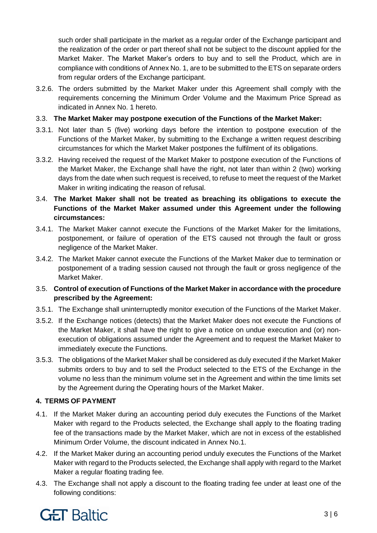such order shall participate in the market as a regular order of the Exchange participant and the realization of the order or part thereof shall not be subject to the discount applied for the Market Maker. The Market Maker's orders to buy and to sell the Product, which are in compliance with conditions of Annex No. 1, are to be submitted to the ETS on separate orders from regular orders of the Exchange participant.

3.2.6. The orders submitted by the Market Maker under this Agreement shall comply with the requirements concerning the Minimum Order Volume and the Maximum Price Spread as indicated in Annex No. 1 hereto.

## 3.3. **The Market Maker may postpone execution of the Functions of the Market Maker:**

- 3.3.1. Not later than 5 (five) working days before the intention to postpone execution of the Functions of the Market Maker, by submitting to the Exchange a written request describing circumstances for which the Market Maker postpones the fulfilment of its obligations.
- 3.3.2. Having received the request of the Market Maker to postpone execution of the Functions of the Market Maker, the Exchange shall have the right, not later than within 2 (two) working days from the date when such request is received, to refuse to meet the request of the Market Maker in writing indicating the reason of refusal.
- 3.4. **The Market Maker shall not be treated as breaching its obligations to execute the Functions of the Market Maker assumed under this Agreement under the following circumstances:**
- 3.4.1. The Market Maker cannot execute the Functions of the Market Maker for the limitations, postponement, or failure of operation of the ETS caused not through the fault or gross negligence of the Market Maker.
- 3.4.2. The Market Maker cannot execute the Functions of the Market Maker due to termination or postponement of a trading session caused not through the fault or gross negligence of the Market Maker.
- 3.5. **Control of execution of Functions of the Market Maker in accordance with the procedure prescribed by the Agreement:**
- 3.5.1. The Exchange shall uninterruptedly monitor execution of the Functions of the Market Maker.
- 3.5.2. If the Exchange notices (detects) that the Market Maker does not execute the Functions of the Market Maker, it shall have the right to give a notice on undue execution and (or) nonexecution of obligations assumed under the Agreement and to request the Market Maker to immediately execute the Functions.
- 3.5.3. The obligations of the Market Maker shall be considered as duly executed if the Market Maker submits orders to buy and to sell the Product selected to the ETS of the Exchange in the volume no less than the minimum volume set in the Agreement and within the time limits set by the Agreement during the Operating hours of the Market Maker.

## **4. TERMS OF PAYMENT**

- 4.1. If the Market Maker during an accounting period duly executes the Functions of the Market Maker with regard to the Products selected, the Exchange shall apply to the floating trading fee of the transactions made by the Market Maker, which are not in excess of the established Minimum Order Volume, the discount indicated in Annex No.1.
- 4.2. If the Market Maker during an accounting period unduly executes the Functions of the Market Maker with regard to the Products selected, the Exchange shall apply with regard to the Market Maker a regular floating trading fee.
- 4.3. The Exchange shall not apply a discount to the floating trading fee under at least one of the following conditions:

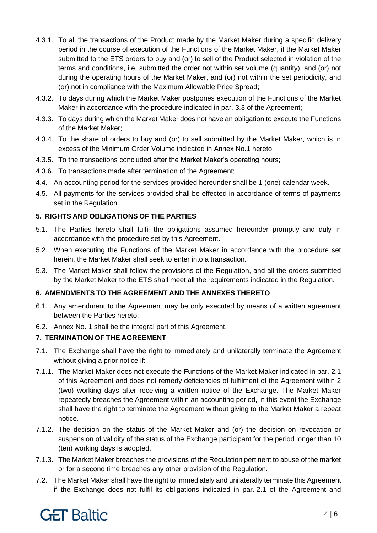- 4.3.1. To all the transactions of the Product made by the Market Maker during a specific delivery period in the course of execution of the Functions of the Market Maker, if the Market Maker submitted to the ETS orders to buy and (or) to sell of the Product selected in violation of the terms and conditions, i.e. submitted the order not within set volume (quantity), and (or) not during the operating hours of the Market Maker, and (or) not within the set periodicity, and (or) not in compliance with the Maximum Allowable Price Spread;
- 4.3.2. To days during which the Market Maker postpones execution of the Functions of the Market Maker in accordance with the procedure indicated in par. 3.3 of the Agreement;
- 4.3.3. To days during which the Market Maker does not have an obligation to execute the Functions of the Market Maker;
- 4.3.4. To the share of orders to buy and (or) to sell submitted by the Market Maker, which is in excess of the Minimum Order Volume indicated in Annex No.1 hereto;
- 4.3.5. To the transactions concluded after the Market Maker's operating hours;
- 4.3.6. To transactions made after termination of the Agreement;
- 4.4. An accounting period for the services provided hereunder shall be 1 (one) calendar week.
- 4.5. All payments for the services provided shall be effected in accordance of terms of payments set in the Regulation.

# **5. RIGHTS AND OBLIGATIONS OF THE PARTIES**

- 5.1. The Parties hereto shall fulfil the obligations assumed hereunder promptly and duly in accordance with the procedure set by this Agreement.
- 5.2. When executing the Functions of the Market Maker in accordance with the procedure set herein, the Market Maker shall seek to enter into a transaction.
- 5.3. The Market Maker shall follow the provisions of the Regulation, and all the orders submitted by the Market Maker to the ETS shall meet all the requirements indicated in the Regulation.

# **6. AMENDMENTS TO THE AGREEMENT AND THE ANNEXES THERETO**

- 6.1. Any amendment to the Agreement may be only executed by means of a written agreement between the Parties hereto.
- 6.2. Annex No. 1 shall be the integral part of this Agreement.

# **7. TERMINATION OF THE AGREEMENT**

- 7.1. The Exchange shall have the right to immediately and unilaterally terminate the Agreement without giving a prior notice if:
- 7.1.1. The Market Maker does not execute the Functions of the Market Maker indicated in par. 2.1 of this Agreement and does not remedy deficiencies of fulfilment of the Agreement within 2 (two) working days after receiving a written notice of the Exchange. The Market Maker repeatedly breaches the Agreement within an accounting period, in this event the Exchange shall have the right to terminate the Agreement without giving to the Market Maker a repeat notice.
- 7.1.2. The decision on the status of the Market Maker and (or) the decision on revocation or suspension of validity of the status of the Exchange participant for the period longer than 10 (ten) working days is adopted.
- 7.1.3. The Market Maker breaches the provisions of the Regulation pertinent to abuse of the market or for a second time breaches any other provision of the Regulation.
- 7.2. The Market Maker shall have the right to immediately and unilaterally terminate this Agreement if the Exchange does not fulfil its obligations indicated in par. 2.1 of the Agreement and

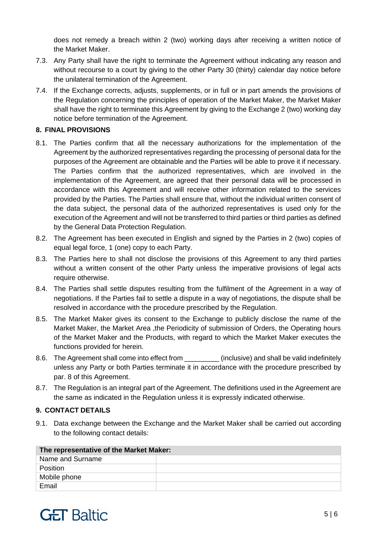does not remedy a breach within 2 (two) working days after receiving a written notice of the Market Maker.

- 7.3. Any Party shall have the right to terminate the Agreement without indicating any reason and without recourse to a court by giving to the other Party 30 (thirty) calendar day notice before the unilateral termination of the Agreement.
- 7.4. If the Exchange corrects, adjusts, supplements, or in full or in part amends the provisions of the Regulation concerning the principles of operation of the Market Maker, the Market Maker shall have the right to terminate this Agreement by giving to the Exchange 2 (two) working day notice before termination of the Agreement.

## **8. FINAL PROVISIONS**

- 8.1. The Parties confirm that all the necessary authorizations for the implementation of the Agreement by the authorized representatives regarding the processing of personal data for the purposes of the Agreement are obtainable and the Parties will be able to prove it if necessary. The Parties confirm that the authorized representatives, which are involved in the implementation of the Agreement, are agreed that their personal data will be processed in accordance with this Agreement and will receive other information related to the services provided by the Parties. The Parties shall ensure that, without the individual written consent of the data subject, the personal data of the authorized representatives is used only for the execution of the Agreement and will not be transferred to third parties or third parties as defined by the General Data Protection Regulation.
- 8.2. The Agreement has been executed in English and signed by the Parties in 2 (two) copies of equal legal force, 1 (one) copy to each Party.
- 8.3. The Parties here to shall not disclose the provisions of this Agreement to any third parties without a written consent of the other Party unless the imperative provisions of legal acts require otherwise.
- 8.4. The Parties shall settle disputes resulting from the fulfilment of the Agreement in a way of negotiations. If the Parties fail to settle a dispute in a way of negotiations, the dispute shall be resolved in accordance with the procedure prescribed by the Regulation.
- 8.5. The Market Maker gives its consent to the Exchange to publicly disclose the name of the Market Maker, the Market Area, the Periodicity of submission of Orders, the Operating hours of the Market Maker and the Products, with regard to which the Market Maker executes the functions provided for herein.
- 8.6. The Agreement shall come into effect from (inclusive) and shall be valid indefinitely unless any Party or both Parties terminate it in accordance with the procedure prescribed by par. 8 of this Agreement.
- 8.7. The Regulation is an integral part of the Agreement. The definitions used in the Agreement are the same as indicated in the Regulation unless it is expressly indicated otherwise.

## **9. CONTACT DETAILS**

9.1. Data exchange between the Exchange and the Market Maker shall be carried out according to the following contact details:

| The representative of the Market Maker: |  |  |
|-----------------------------------------|--|--|
| Name and Surname                        |  |  |
| Position                                |  |  |
| Mobile phone                            |  |  |
| Email                                   |  |  |

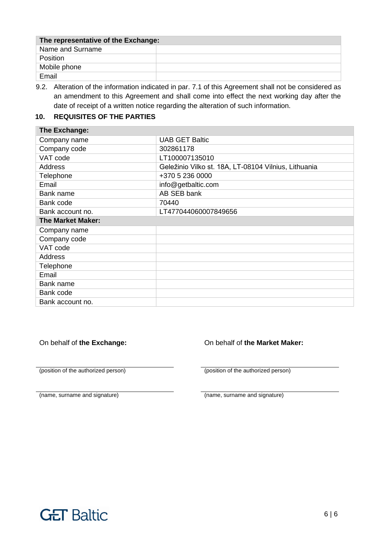| The representative of the Exchange: |  |  |
|-------------------------------------|--|--|
| Name and Surname                    |  |  |
| Position                            |  |  |
| Mobile phone                        |  |  |
| Email                               |  |  |

9.2. Alteration of the information indicated in par. 7.1 of this Agreement shall not be considered as an amendment to this Agreement and shall come into effect the next working day after the date of receipt of a written notice regarding the alteration of such information.

## **10. REQUISITES OF THE PARTIES**

| <b>The Exchange:</b>     |                                                      |  |
|--------------------------|------------------------------------------------------|--|
| Company name             | <b>UAB GET Baltic</b>                                |  |
| Company code             | 302861178                                            |  |
| VAT code                 | LT100007135010                                       |  |
| <b>Address</b>           | Geležinio Vilko st. 18A, LT-08104 Vilnius, Lithuania |  |
| Telephone                | +370 5 236 0000                                      |  |
| Email                    | info@getbaltic.com                                   |  |
| Bank name                | AB SEB bank                                          |  |
| Bank code                | 70440                                                |  |
| Bank account no.         | LT477044060007849656                                 |  |
| <b>The Market Maker:</b> |                                                      |  |
| Company name             |                                                      |  |
| Company code             |                                                      |  |
| VAT code                 |                                                      |  |
| Address                  |                                                      |  |
| Telephone                |                                                      |  |
| Email                    |                                                      |  |
| Bank name                |                                                      |  |
| Bank code                |                                                      |  |
| Bank account no.         |                                                      |  |

(position of the authorized person) (position of the authorized person)

On behalf of **the Exchange:** On behalf of **the Market Maker:**

(name, surname and signature) (name, surname and signature)

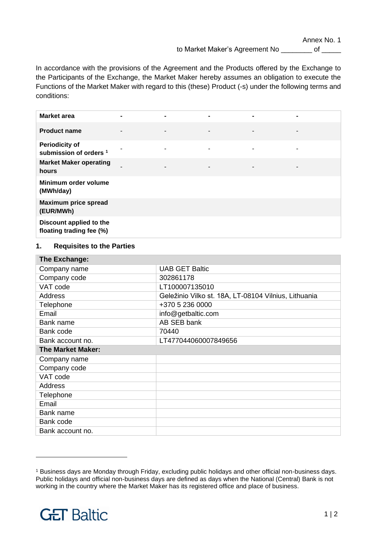Annex No. 1

to Market Maker's Agreement No \_\_\_\_\_\_\_\_ of \_\_\_\_\_

In accordance with the provisions of the Agreement and the Products offered by the Exchange to the Participants of the Exchange, the Market Maker hereby assumes an obligation to execute the Functions of the Market Maker with regard to this (these) Product (-s) under the following terms and conditions:

| <b>Market area</b>                                         | $\blacksquare$ |   | $\blacksquare$           |                          |  |
|------------------------------------------------------------|----------------|---|--------------------------|--------------------------|--|
| <b>Product name</b>                                        | $\blacksquare$ | ٠ | $\overline{\phantom{a}}$ | $\overline{\phantom{a}}$ |  |
| <b>Periodicity of</b><br>submission of orders <sup>1</sup> |                |   | ۰                        |                          |  |
| <b>Market Maker operating</b><br>hours                     |                |   | $\overline{\phantom{a}}$ |                          |  |
| Minimum order volume<br>(MWh/day)                          |                |   |                          |                          |  |
| <b>Maximum price spread</b><br>(EUR/MWh)                   |                |   |                          |                          |  |
| Discount applied to the<br>floating trading fee (%)        |                |   |                          |                          |  |

#### **1. Requisites to the Parties**

| The Exchange:            |                                                      |  |  |
|--------------------------|------------------------------------------------------|--|--|
| Company name             | <b>UAB GET Baltic</b>                                |  |  |
| Company code             | 302861178                                            |  |  |
| VAT code                 | LT100007135010                                       |  |  |
| <b>Address</b>           | Geležinio Vilko st. 18A, LT-08104 Vilnius, Lithuania |  |  |
| Telephone                | +370 5 236 0000                                      |  |  |
| Email                    | info@getbaltic.com                                   |  |  |
| Bank name                | AB SEB bank                                          |  |  |
| Bank code                | 70440                                                |  |  |
| Bank account no.         | LT477044060007849656                                 |  |  |
| <b>The Market Maker:</b> |                                                      |  |  |
| Company name             |                                                      |  |  |
| Company code             |                                                      |  |  |
| VAT code                 |                                                      |  |  |
| <b>Address</b>           |                                                      |  |  |
| Telephone                |                                                      |  |  |
| Email                    |                                                      |  |  |
| Bank name                |                                                      |  |  |
| Bank code                |                                                      |  |  |
| Bank account no.         |                                                      |  |  |

<sup>1</sup> Business days are Monday through Friday, excluding public holidays and other official non-business days. Public holidays and official non-business days are defined as days when the National (Central) Bank is not working in the country where the Market Maker has its registered office and place of business.